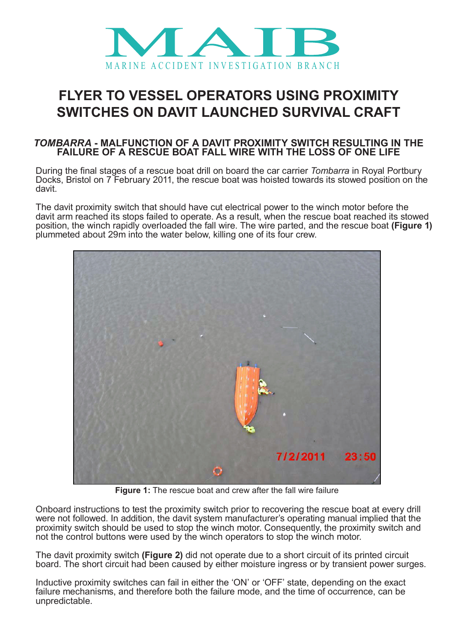

## **FLYER TO VESSEL OPERATORS USING PROXIMITY SWITCHES ON DAVIT LAUNCHED SURVIVAL CRAFT**

## *TOMBARRA* **- MALFUNCTION OF A DAVIT PROXIMITY SWITCH RESULTING IN THE FAILURE OF A RESCUE BOAT FALL WIRE WITH THE LOSS OF ONE LIFE**

During the final stages of a rescue boat drill on board the car carrier *Tombarra* in Royal Portbury Docks, Bristol on 7 February 2011, the rescue boat was hoisted towards its stowed position on the davit.

The davit proximity switch that should have cut electrical power to the winch motor before the davit arm reached its stops failed to operate. As a result, when the rescue boat reached its stowed position, the winch rapidly overloaded the fall wire. The wire parted, and the rescue boat **(Figure 1)** plummeted about 29m into the water below, killing one of its four crew.



**Figure 1:** The rescue boat and crew after the fall wire failure

Onboard instructions to test the proximity switch prior to recovering the rescue boat at every drill were not followed. In addition, the davit system manufacturer's operating manual implied that the proximity switch should be used to stop the winch motor. Consequently, the proximity switch and not the control buttons were used by the winch operators to stop the winch motor.

The davit proximity switch **(Figure 2)** did not operate due to a short circuit of its printed circuit board. The short circuit had been caused by either moisture ingress or by transient power surges.

Inductive proximity switches can fail in either the 'ON' or 'OFF' state, depending on the exact failure mechanisms, and therefore both the failure mode, and the time of occurrence, can be unpredictable.